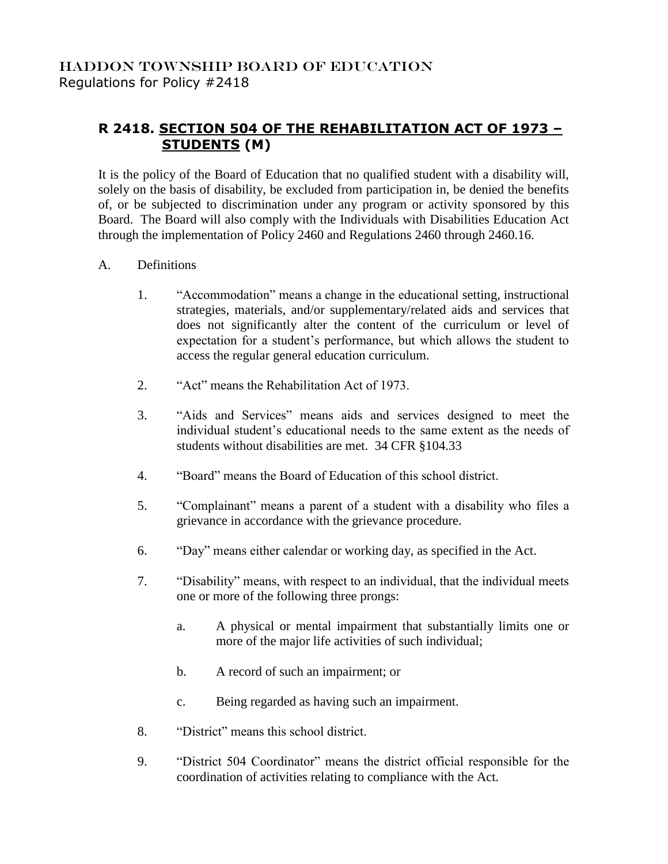## **R 2418. SECTION 504 OF THE REHABILITATION ACT OF 1973 – STUDENTS (M)**

It is the policy of the Board of Education that no qualified student with a disability will, solely on the basis of disability, be excluded from participation in, be denied the benefits of, or be subjected to discrimination under any program or activity sponsored by this Board. The Board will also comply with the Individuals with Disabilities Education Act through the implementation of Policy 2460 and Regulations 2460 through 2460.16.

- A. Definitions
	- 1. "Accommodation" means a change in the educational setting, instructional strategies, materials, and/or supplementary/related aids and services that does not significantly alter the content of the curriculum or level of expectation for a student's performance, but which allows the student to access the regular general education curriculum.
	- 2. "Act" means the Rehabilitation Act of 1973.
	- 3. "Aids and Services" means aids and services designed to meet the individual student's educational needs to the same extent as the needs of students without disabilities are met. 34 CFR §104.33
	- 4. "Board" means the Board of Education of this school district.
	- 5. "Complainant" means a parent of a student with a disability who files a grievance in accordance with the grievance procedure.
	- 6. "Day" means either calendar or working day, as specified in the Act.
	- 7. "Disability" means, with respect to an individual, that the individual meets one or more of the following three prongs:
		- a. A physical or mental impairment that substantially limits one or more of the major life activities of such individual;
		- b. A record of such an impairment; or
		- c. Being regarded as having such an impairment.
	- 8. "District" means this school district.
	- 9. "District 504 Coordinator" means the district official responsible for the coordination of activities relating to compliance with the Act.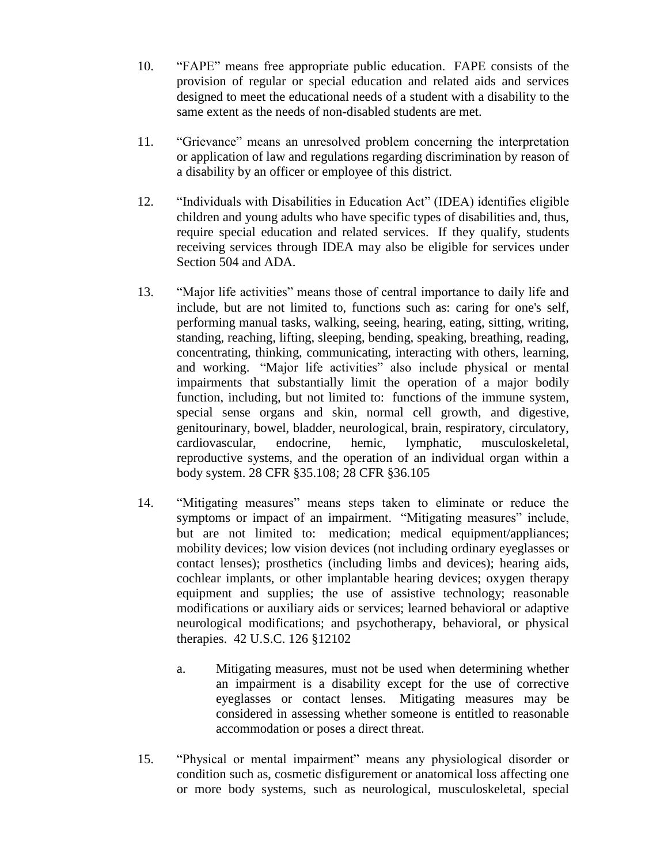- 10. "FAPE" means free appropriate public education. FAPE consists of the provision of regular or special education and related aids and services designed to meet the educational needs of a student with a disability to the same extent as the needs of non-disabled students are met.
- 11. "Grievance" means an unresolved problem concerning the interpretation or application of law and regulations regarding discrimination by reason of a disability by an officer or employee of this district.
- 12. "Individuals with Disabilities in Education Act" (IDEA) identifies eligible children and young adults who have specific types of disabilities and, thus, require special education and related services. If they qualify, students receiving services through IDEA may also be eligible for services under Section 504 and ADA.
- 13. "Major life activities" means those of central importance to daily life and include, but are not limited to, functions such as: caring for one's self, performing manual tasks, walking, seeing, hearing, eating, sitting, writing, standing, reaching, lifting, sleeping, bending, speaking, breathing, reading, concentrating, thinking, communicating, interacting with others, learning, and working. "Major life activities" also include physical or mental impairments that substantially limit the operation of a major bodily function, including, but not limited to: functions of the immune system, special sense organs and skin, normal cell growth, and digestive, genitourinary, bowel, bladder, neurological, brain, respiratory, circulatory, cardiovascular, endocrine, hemic, lymphatic, musculoskeletal, reproductive systems, and the operation of an individual organ within a body system. 28 CFR §35.108; 28 CFR §36.105
- 14. "Mitigating measures" means steps taken to eliminate or reduce the symptoms or impact of an impairment. "Mitigating measures" include, but are not limited to: medication; medical equipment/appliances; mobility devices; low vision devices (not including ordinary eyeglasses or contact lenses); prosthetics (including limbs and devices); hearing aids, cochlear implants, or other implantable hearing devices; oxygen therapy equipment and supplies; the use of assistive technology; reasonable modifications or auxiliary aids or services; learned behavioral or adaptive neurological modifications; and psychotherapy, behavioral, or physical therapies. 42 U.S.C. 126 §12102
	- a. Mitigating measures, must not be used when determining whether an impairment is a disability except for the use of corrective eyeglasses or contact lenses. Mitigating measures may be considered in assessing whether someone is entitled to reasonable accommodation or poses a direct threat.
- 15. "Physical or mental impairment" means any physiological disorder or condition such as, cosmetic disfigurement or anatomical loss affecting one or more body systems, such as neurological, musculoskeletal, special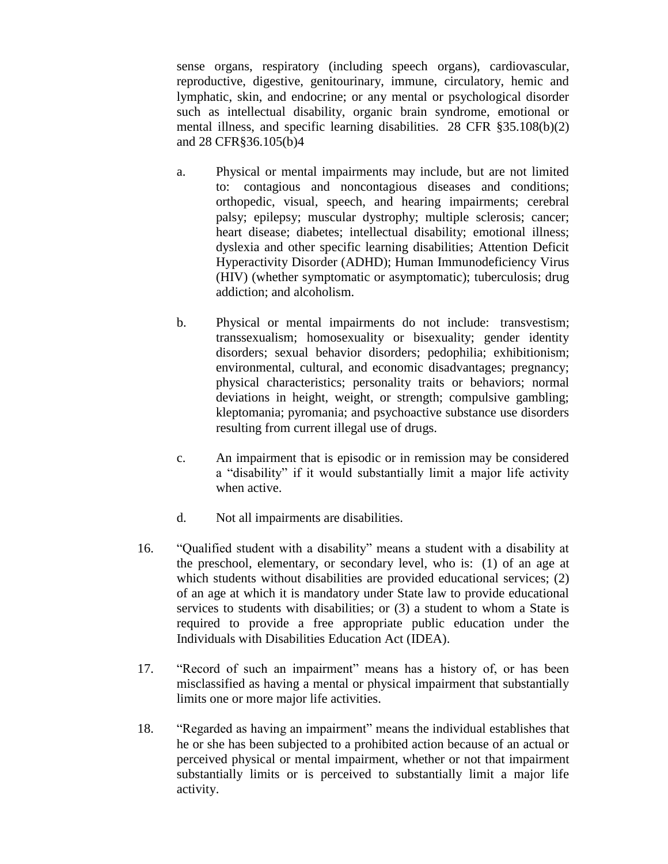sense organs, respiratory (including speech organs), cardiovascular, reproductive, digestive, genitourinary, immune, circulatory, hemic and lymphatic, skin, and endocrine; or any mental or psychological disorder such as intellectual disability, organic brain syndrome, emotional or mental illness, and specific learning disabilities. 28 CFR §35.108(b)(2) and 28 CFR§36.105(b)4

- a. Physical or mental impairments may include, but are not limited to: contagious and noncontagious diseases and conditions; orthopedic, visual, speech, and hearing impairments; cerebral palsy; epilepsy; muscular dystrophy; multiple sclerosis; cancer; heart disease; diabetes; intellectual disability; emotional illness; dyslexia and other specific learning disabilities; Attention Deficit Hyperactivity Disorder (ADHD); Human Immunodeficiency Virus (HIV) (whether symptomatic or asymptomatic); tuberculosis; drug addiction; and alcoholism.
- b. Physical or mental impairments do not include: transvestism; transsexualism; homosexuality or bisexuality; gender identity disorders; sexual behavior disorders; pedophilia; exhibitionism; environmental, cultural, and economic disadvantages; pregnancy; physical characteristics; personality traits or behaviors; normal deviations in height, weight, or strength; compulsive gambling; kleptomania; pyromania; and psychoactive substance use disorders resulting from current illegal use of drugs.
- c. An impairment that is episodic or in remission may be considered a "disability" if it would substantially limit a major life activity when active.
- d. Not all impairments are disabilities.
- 16. "Qualified student with a disability" means a student with a disability at the preschool, elementary, or secondary level, who is: (1) of an age at which students without disabilities are provided educational services; (2) of an age at which it is mandatory under State law to provide educational services to students with disabilities; or (3) a student to whom a State is required to provide a free appropriate public education under the Individuals with Disabilities Education Act (IDEA).
- 17. "Record of such an impairment" means has a history of, or has been misclassified as having a mental or physical impairment that substantially limits one or more major life activities.
- 18. "Regarded as having an impairment" means the individual establishes that he or she has been subjected to a prohibited action because of an actual or perceived physical or mental impairment, whether or not that impairment substantially limits or is perceived to substantially limit a major life activity.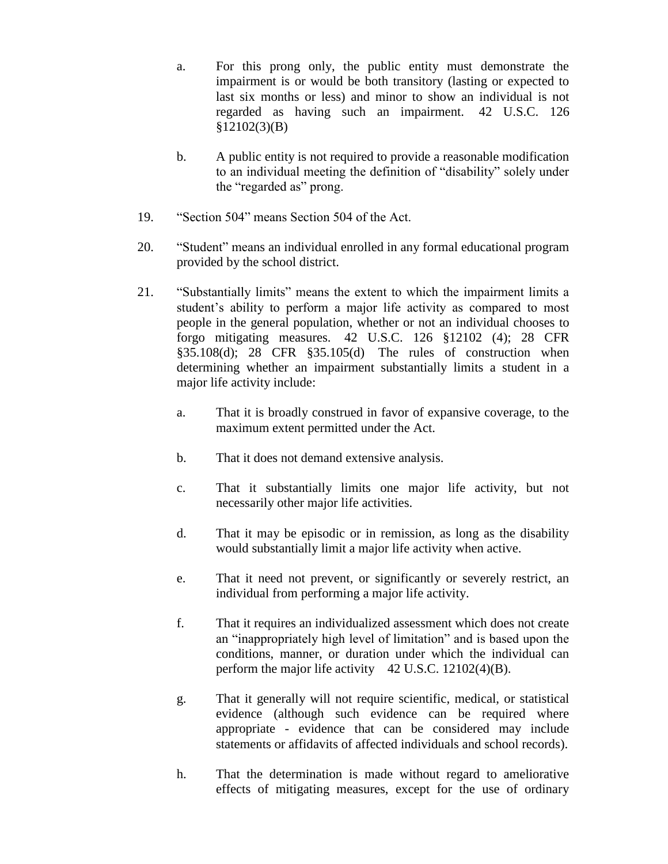a. For this prong only, the public entity must demonstrate the impairment is or would be both transitory (lasting or expected to last six months or less) and minor to show an individual is not regarded as having such an impairment. 42 U.S.C. 126 §12102(3)(B)

- b. A public entity is not required to provide a reasonable modification to an individual meeting the definition of "disability" solely under the "regarded as" prong.
- 19. "Section 504" means Section 504 of the Act.
- 20. "Student" means an individual enrolled in any formal educational program provided by the school district.
- 21. "Substantially limits" means the extent to which the impairment limits a student's ability to perform a major life activity as compared to most people in the general population, whether or not an individual chooses to forgo mitigating measures. 42 U.S.C. 126 §12102 (4); 28 CFR §35.108(d); 28 CFR §35.105(d) The rules of construction when determining whether an impairment substantially limits a student in a major life activity include:
	- a. That it is broadly construed in favor of expansive coverage, to the maximum extent permitted under the Act.
	- b. That it does not demand extensive analysis.
	- c. That it substantially limits one major life activity, but not necessarily other major life activities.
	- d. That it may be episodic or in remission, as long as the disability would substantially limit a major life activity when active.
	- e. That it need not prevent, or significantly or severely restrict, an individual from performing a major life activity.
	- f. That it requires an individualized assessment which does not create an "inappropriately high level of limitation" and is based upon the conditions, manner, or duration under which the individual can perform the major life activity  $42 \text{ U.S.C. } 12102(4)(\text{B}).$
	- g. That it generally will not require scientific, medical, or statistical evidence (although such evidence can be required where appropriate - evidence that can be considered may include statements or affidavits of affected individuals and school records).
	- h. That the determination is made without regard to ameliorative effects of mitigating measures, except for the use of ordinary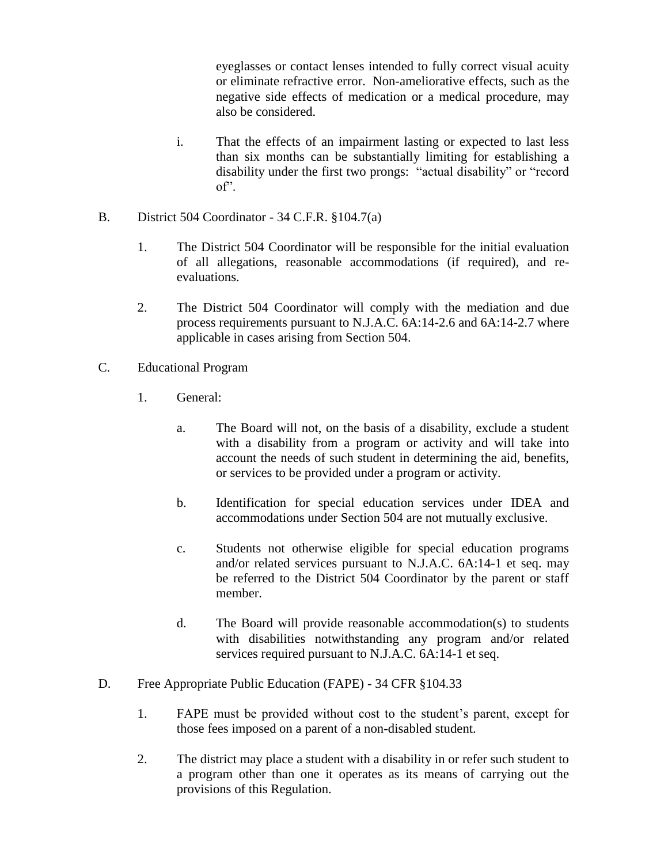eyeglasses or contact lenses intended to fully correct visual acuity or eliminate refractive error. Non-ameliorative effects, such as the negative side effects of medication or a medical procedure, may also be considered.

- i. That the effects of an impairment lasting or expected to last less than six months can be substantially limiting for establishing a disability under the first two prongs: "actual disability" or "record of".
- B. District 504 Coordinator 34 C.F.R. §104.7(a)
	- 1. The District 504 Coordinator will be responsible for the initial evaluation of all allegations, reasonable accommodations (if required), and reevaluations.
	- 2. The District 504 Coordinator will comply with the mediation and due process requirements pursuant to N.J.A.C. 6A:14-2.6 and 6A:14-2.7 where applicable in cases arising from Section 504.
- C. Educational Program
	- 1. General:
		- a. The Board will not, on the basis of a disability, exclude a student with a disability from a program or activity and will take into account the needs of such student in determining the aid, benefits, or services to be provided under a program or activity.
		- b. Identification for special education services under IDEA and accommodations under Section 504 are not mutually exclusive.
		- c. Students not otherwise eligible for special education programs and/or related services pursuant to N.J.A.C. 6A:14-1 et seq. may be referred to the District 504 Coordinator by the parent or staff member.
		- d. The Board will provide reasonable accommodation(s) to students with disabilities notwithstanding any program and/or related services required pursuant to N.J.A.C. 6A:14-1 et seq.
- D. Free Appropriate Public Education (FAPE) 34 CFR §104.33
	- 1. FAPE must be provided without cost to the student's parent, except for those fees imposed on a parent of a non-disabled student.
	- 2. The district may place a student with a disability in or refer such student to a program other than one it operates as its means of carrying out the provisions of this Regulation.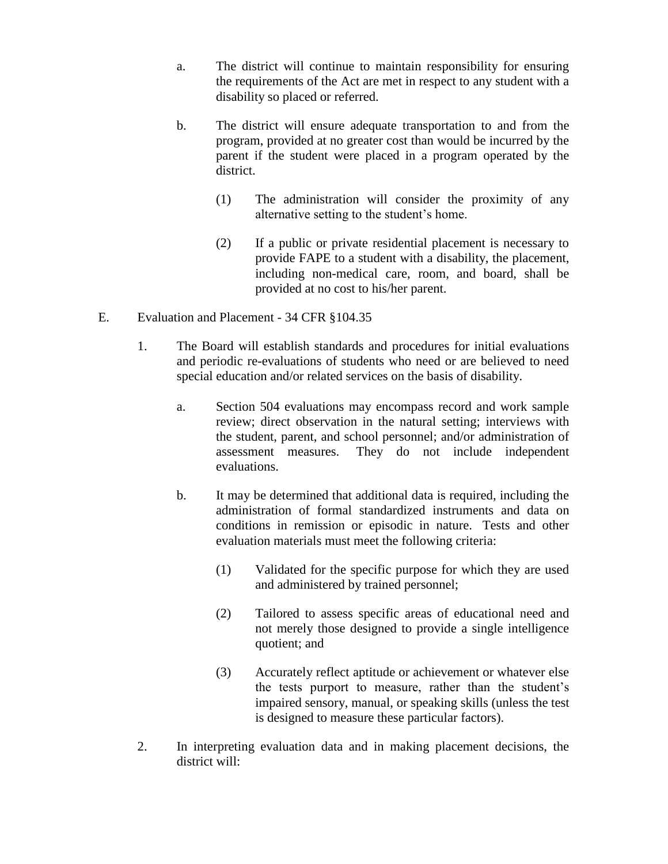- a. The district will continue to maintain responsibility for ensuring the requirements of the Act are met in respect to any student with a disability so placed or referred.
- b. The district will ensure adequate transportation to and from the program, provided at no greater cost than would be incurred by the parent if the student were placed in a program operated by the district.
	- (1) The administration will consider the proximity of any alternative setting to the student's home.
	- (2) If a public or private residential placement is necessary to provide FAPE to a student with a disability, the placement, including non-medical care, room, and board, shall be provided at no cost to his/her parent.
- E. Evaluation and Placement 34 CFR §104.35
	- 1. The Board will establish standards and procedures for initial evaluations and periodic re-evaluations of students who need or are believed to need special education and/or related services on the basis of disability.
		- a. Section 504 evaluations may encompass record and work sample review; direct observation in the natural setting; interviews with the student, parent, and school personnel; and/or administration of assessment measures. They do not include independent evaluations.
		- b. It may be determined that additional data is required, including the administration of formal standardized instruments and data on conditions in remission or episodic in nature. Tests and other evaluation materials must meet the following criteria:
			- (1) Validated for the specific purpose for which they are used and administered by trained personnel;
			- (2) Tailored to assess specific areas of educational need and not merely those designed to provide a single intelligence quotient; and
			- (3) Accurately reflect aptitude or achievement or whatever else the tests purport to measure, rather than the student's impaired sensory, manual, or speaking skills (unless the test is designed to measure these particular factors).
	- 2. In interpreting evaluation data and in making placement decisions, the district will: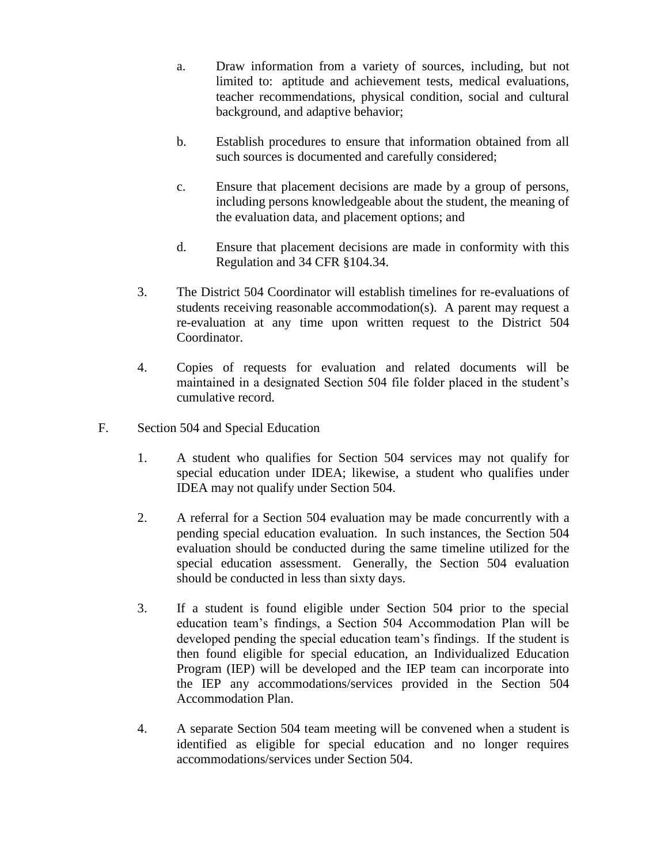- a. Draw information from a variety of sources, including, but not limited to: aptitude and achievement tests, medical evaluations, teacher recommendations, physical condition, social and cultural background, and adaptive behavior;
- b. Establish procedures to ensure that information obtained from all such sources is documented and carefully considered;
- c. Ensure that placement decisions are made by a group of persons, including persons knowledgeable about the student, the meaning of the evaluation data, and placement options; and
- d. Ensure that placement decisions are made in conformity with this Regulation and 34 CFR §104.34.
- 3. The District 504 Coordinator will establish timelines for re-evaluations of students receiving reasonable accommodation(s). A parent may request a re-evaluation at any time upon written request to the District 504 Coordinator.
- 4. Copies of requests for evaluation and related documents will be maintained in a designated Section 504 file folder placed in the student's cumulative record.
- F. Section 504 and Special Education
	- 1. A student who qualifies for Section 504 services may not qualify for special education under IDEA; likewise, a student who qualifies under IDEA may not qualify under Section 504.
	- 2. A referral for a Section 504 evaluation may be made concurrently with a pending special education evaluation. In such instances, the Section 504 evaluation should be conducted during the same timeline utilized for the special education assessment. Generally, the Section 504 evaluation should be conducted in less than sixty days.
	- 3. If a student is found eligible under Section 504 prior to the special education team's findings, a Section 504 Accommodation Plan will be developed pending the special education team's findings. If the student is then found eligible for special education, an Individualized Education Program (IEP) will be developed and the IEP team can incorporate into the IEP any accommodations/services provided in the Section 504 Accommodation Plan.
	- 4. A separate Section 504 team meeting will be convened when a student is identified as eligible for special education and no longer requires accommodations/services under Section 504.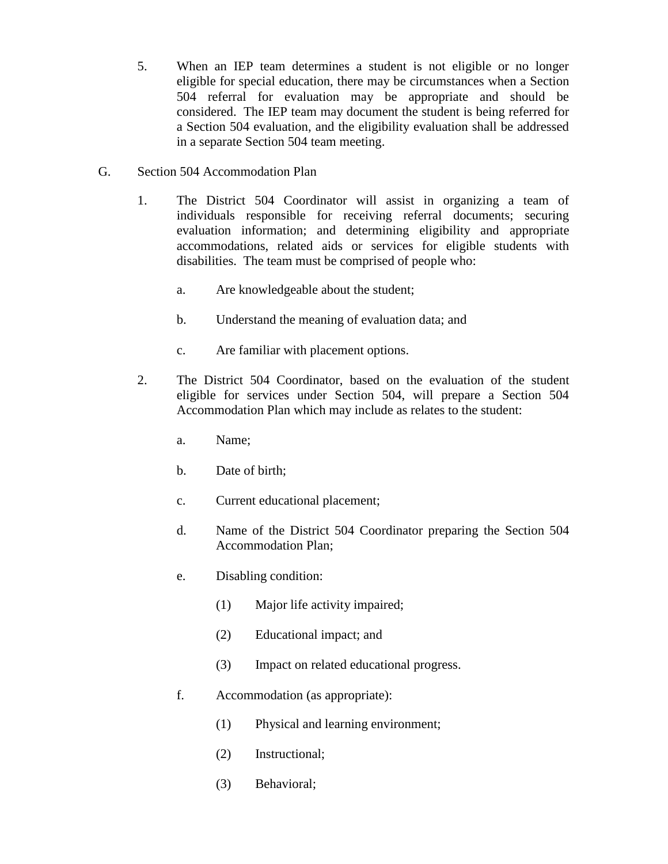- 5. When an IEP team determines a student is not eligible or no longer eligible for special education, there may be circumstances when a Section 504 referral for evaluation may be appropriate and should be considered. The IEP team may document the student is being referred for a Section 504 evaluation, and the eligibility evaluation shall be addressed in a separate Section 504 team meeting.
- G. Section 504 Accommodation Plan
	- 1. The District 504 Coordinator will assist in organizing a team of individuals responsible for receiving referral documents; securing evaluation information; and determining eligibility and appropriate accommodations, related aids or services for eligible students with disabilities. The team must be comprised of people who:
		- a. Are knowledgeable about the student;
		- b. Understand the meaning of evaluation data; and
		- c. Are familiar with placement options.
	- 2. The District 504 Coordinator, based on the evaluation of the student eligible for services under Section 504, will prepare a Section 504 Accommodation Plan which may include as relates to the student:
		- a. Name;
		- b. Date of birth;
		- c. Current educational placement;
		- d. Name of the District 504 Coordinator preparing the Section 504 Accommodation Plan;
		- e. Disabling condition:
			- (1) Major life activity impaired;
			- (2) Educational impact; and
			- (3) Impact on related educational progress.
		- f. Accommodation (as appropriate):
			- (1) Physical and learning environment;
			- (2) Instructional;
			- (3) Behavioral;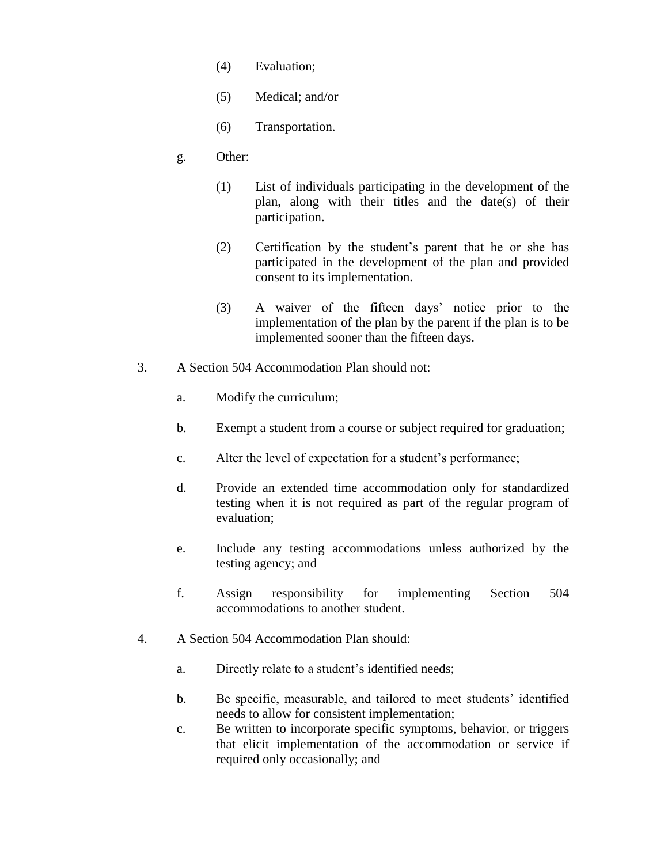- (4) Evaluation;
- (5) Medical; and/or
- (6) Transportation.
- g. Other:
	- (1) List of individuals participating in the development of the plan, along with their titles and the date(s) of their participation.
	- (2) Certification by the student's parent that he or she has participated in the development of the plan and provided consent to its implementation.
	- (3) A waiver of the fifteen days' notice prior to the implementation of the plan by the parent if the plan is to be implemented sooner than the fifteen days.
- 3. A Section 504 Accommodation Plan should not:
	- a. Modify the curriculum;
	- b. Exempt a student from a course or subject required for graduation;
	- c. Alter the level of expectation for a student's performance;
	- d. Provide an extended time accommodation only for standardized testing when it is not required as part of the regular program of evaluation;
	- e. Include any testing accommodations unless authorized by the testing agency; and
	- f. Assign responsibility for implementing Section 504 accommodations to another student.
- 4. A Section 504 Accommodation Plan should:
	- a. Directly relate to a student's identified needs;
	- b. Be specific, measurable, and tailored to meet students' identified needs to allow for consistent implementation;
	- c. Be written to incorporate specific symptoms, behavior, or triggers that elicit implementation of the accommodation or service if required only occasionally; and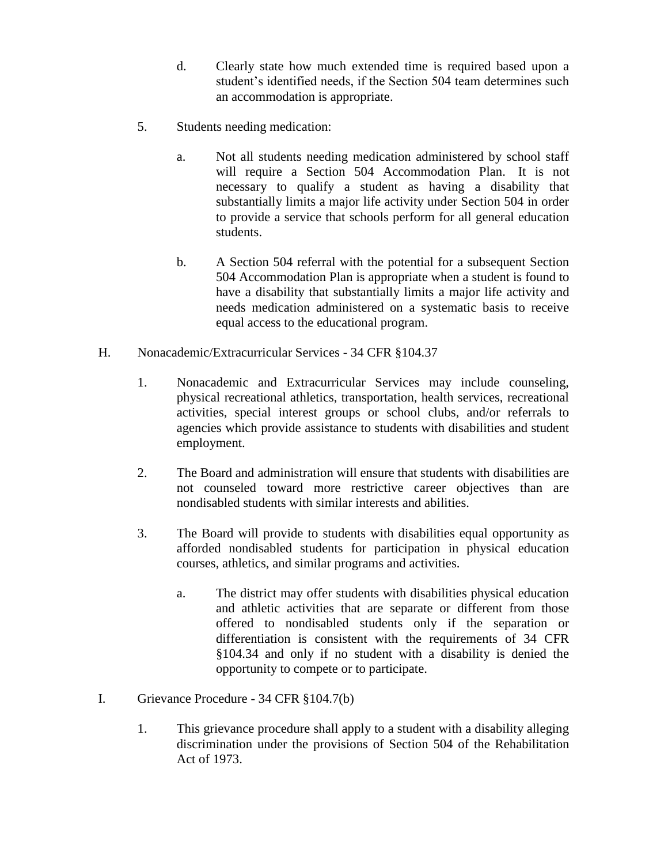- d. Clearly state how much extended time is required based upon a student's identified needs, if the Section 504 team determines such an accommodation is appropriate.
- 5. Students needing medication:
	- a. Not all students needing medication administered by school staff will require a Section 504 Accommodation Plan. It is not necessary to qualify a student as having a disability that substantially limits a major life activity under Section 504 in order to provide a service that schools perform for all general education students.
	- b. A Section 504 referral with the potential for a subsequent Section 504 Accommodation Plan is appropriate when a student is found to have a disability that substantially limits a major life activity and needs medication administered on a systematic basis to receive equal access to the educational program.
- H. Nonacademic/Extracurricular Services 34 CFR §104.37
	- 1. Nonacademic and Extracurricular Services may include counseling, physical recreational athletics, transportation, health services, recreational activities, special interest groups or school clubs, and/or referrals to agencies which provide assistance to students with disabilities and student employment.
	- 2. The Board and administration will ensure that students with disabilities are not counseled toward more restrictive career objectives than are nondisabled students with similar interests and abilities.
	- 3. The Board will provide to students with disabilities equal opportunity as afforded nondisabled students for participation in physical education courses, athletics, and similar programs and activities.
		- a. The district may offer students with disabilities physical education and athletic activities that are separate or different from those offered to nondisabled students only if the separation or differentiation is consistent with the requirements of 34 CFR §104.34 and only if no student with a disability is denied the opportunity to compete or to participate.
- I. Grievance Procedure 34 CFR §104.7(b)
	- 1. This grievance procedure shall apply to a student with a disability alleging discrimination under the provisions of Section 504 of the Rehabilitation Act of 1973.